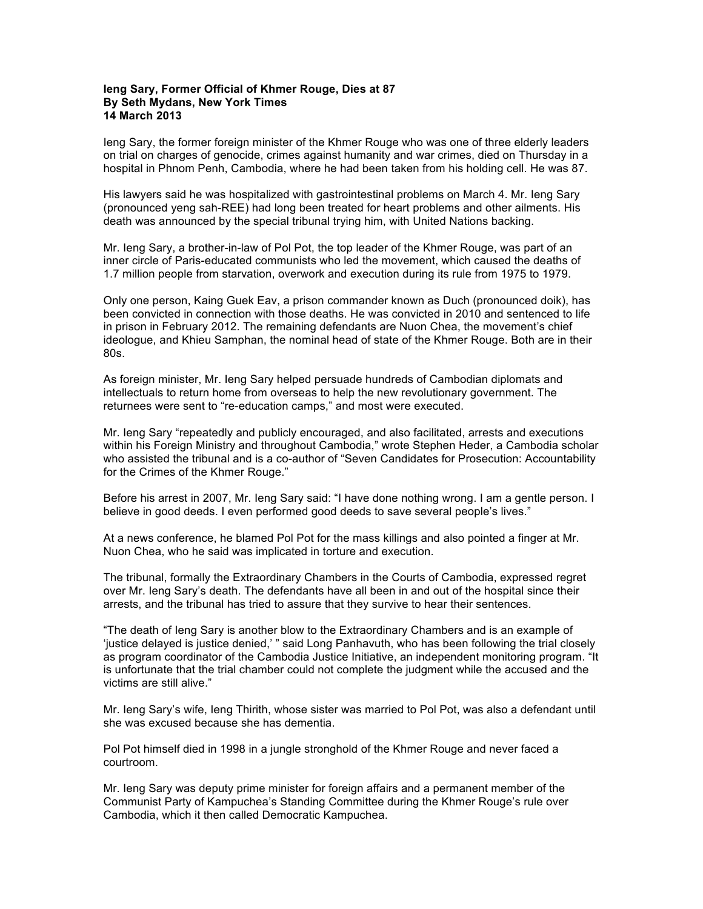## **Ieng Sary, Former Official of Khmer Rouge, Dies at 87 By Seth Mydans, New York Times 14 March 2013**

Ieng Sary, the former foreign minister of the Khmer Rouge who was one of three elderly leaders on trial on charges of genocide, crimes against humanity and war crimes, died on Thursday in a hospital in Phnom Penh, Cambodia, where he had been taken from his holding cell. He was 87.

His lawyers said he was hospitalized with gastrointestinal problems on March 4. Mr. Ieng Sary (pronounced yeng sah-REE) had long been treated for heart problems and other ailments. His death was announced by the special tribunal trying him, with United Nations backing.

Mr. Ieng Sary, a brother-in-law of Pol Pot, the top leader of the Khmer Rouge, was part of an inner circle of Paris-educated communists who led the movement, which caused the deaths of 1.7 million people from starvation, overwork and execution during its rule from 1975 to 1979.

Only one person, Kaing Guek Eav, a prison commander known as Duch (pronounced doik), has been convicted in connection with those deaths. He was convicted in 2010 and sentenced to life in prison in February 2012. The remaining defendants are Nuon Chea, the movement's chief ideologue, and Khieu Samphan, the nominal head of state of the Khmer Rouge. Both are in their 80s.

As foreign minister, Mr. Ieng Sary helped persuade hundreds of Cambodian diplomats and intellectuals to return home from overseas to help the new revolutionary government. The returnees were sent to "re-education camps," and most were executed.

Mr. Ieng Sary "repeatedly and publicly encouraged, and also facilitated, arrests and executions within his Foreign Ministry and throughout Cambodia," wrote Stephen Heder, a Cambodia scholar who assisted the tribunal and is a co-author of "Seven Candidates for Prosecution: Accountability for the Crimes of the Khmer Rouge."

Before his arrest in 2007, Mr. Ieng Sary said: "I have done nothing wrong. I am a gentle person. I believe in good deeds. I even performed good deeds to save several people's lives."

At a news conference, he blamed Pol Pot for the mass killings and also pointed a finger at Mr. Nuon Chea, who he said was implicated in torture and execution.

The tribunal, formally the Extraordinary Chambers in the Courts of Cambodia, expressed regret over Mr. Ieng Sary's death. The defendants have all been in and out of the hospital since their arrests, and the tribunal has tried to assure that they survive to hear their sentences.

"The death of Ieng Sary is another blow to the Extraordinary Chambers and is an example of 'justice delayed is justice denied,' " said Long Panhavuth, who has been following the trial closely as program coordinator of the Cambodia Justice Initiative, an independent monitoring program. "It is unfortunate that the trial chamber could not complete the judgment while the accused and the victims are still alive."

Mr. Ieng Sary's wife, Ieng Thirith, whose sister was married to Pol Pot, was also a defendant until she was excused because she has dementia.

Pol Pot himself died in 1998 in a jungle stronghold of the Khmer Rouge and never faced a courtroom.

Mr. Ieng Sary was deputy prime minister for foreign affairs and a permanent member of the Communist Party of Kampuchea's Standing Committee during the Khmer Rouge's rule over Cambodia, which it then called Democratic Kampuchea.